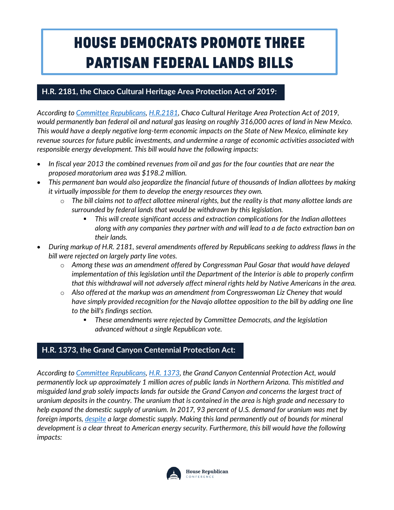## HOUSE DEMOCRATS PROMOTE THREE PARTISAN FEDERAL LANDS BILLS

## **H.R. 2181, the Chaco Cultural Heritage Area Protection Act of 2019:**

I

*According to [Committee Republicans,](https://www.congress.gov/congressional-report/116th-congress/house-report/224/1?overview=closed) [H.R.2181,](https://www.congress.gov/116/bills/hr2181/BILLS-116hr2181rh.pdf) Chaco Cultural Heritage Area Protection Act of 2019, would permanently ban federal oil and natural gas leasing on roughly 316,000 acres of land in New Mexico. This would have a deeply negative long-term economic impacts on the State of New Mexico, eliminate key revenue sources for future public investments, and undermine a range of economic activities associated with responsible energy development. This bill would have the following impacts:*

- *In fiscal year 2013 the combined revenues from oil and gas for the four counties that are near the proposed moratorium area was \$198.2 million.*
- *This permanent ban would also jeopardize the financial future of thousands of Indian allottees by making it virtually impossible for them to develop the energy resources they own.* 
	- o *The bill claims not to affect allottee mineral rights, but the reality is that many allottee lands are surrounded by federal lands that would be withdrawn by this legislation.* 
		- § *This will create significant access and extraction complications for the Indian allottees along with any companies they partner with and will lead to a de facto extraction ban on their lands.*
- *During markup of H.R. 2181, several amendments offered by Republicans seeking to address flaws in the bill were rejected on largely party line votes.* 
	- o *Among these was an amendment offered by Congressman Paul Gosar that would have delayed implementation of this legislation until the Department of the Interior is able to properly confirm that this withdrawal will not adversely affect mineral rights held by Native Americans in the area.*
	- o *Also offered at the markup was an amendment from Congresswoman Liz Cheney that would have simply provided recognition for the Navajo allottee opposition to the bill by adding one line to the bill's findings section.* 
		- § *These amendments were rejected by Committee Democrats, and the legislation advanced without a single Republican vote.*

## **H.R. 1373, the Grand Canyon Centennial Protection Act:**

*According to [Committee Republicans,](https://www.congress.gov/congressional-report/116th-congress/house-report/222/1?overview=closed) [H.R. 1373,](https://www.congress.gov/116/bills/hr2181/BILLS-116hr2181rh.pdf) the Grand Canyon Centennial Protection Act, would permanently lock up approximately 1 million acres of public lands in Northern Arizona. This mistitled and misguided land grab solely impacts lands far outside the Grand Canyon and concerns the largest tract of uranium deposits in the country. The uranium that is contained in the area is high grade and necessary to help expand the domestic supply of uranium. In 2017, 93 percent of U.S. demand for uranium was met by foreign imports, [despite](https://www.eia.gov/energyexplained/index.php?page=nuclear_where.) a large domestic supply. Making this land permanently out of bounds for mineral development is a clear threat to American energy security. Furthermore, this bill would have the following impacts:*